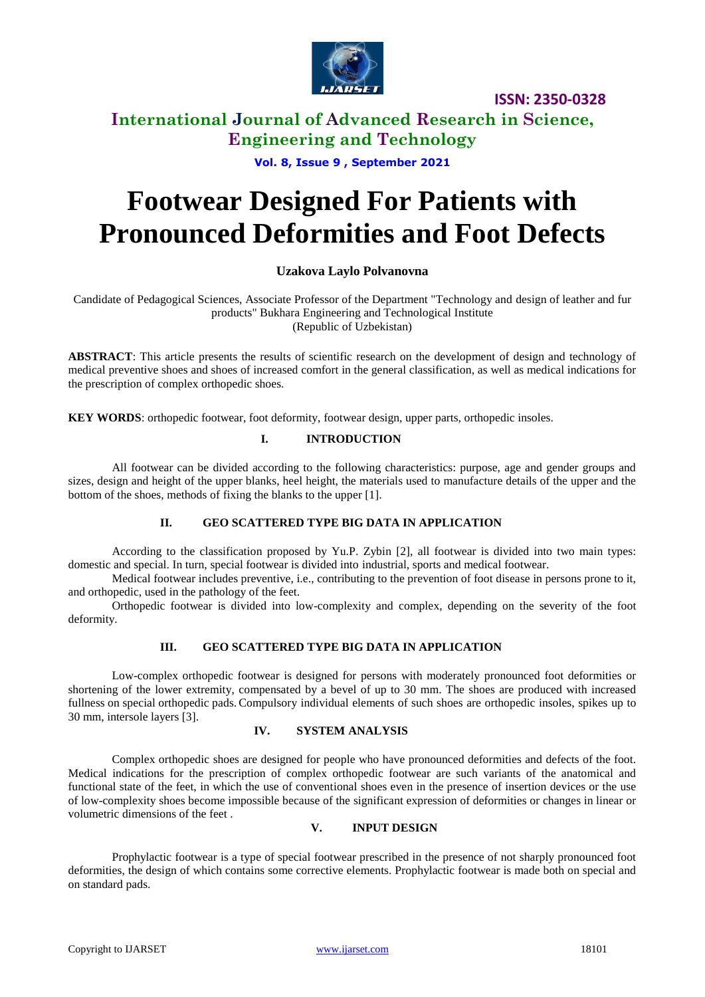

**ISSN: 2350-0328**

**International Journal of Advanced Research in Science, Engineering and Technology**

**Vol. 8, Issue 9 , September 2021**

# **Footwear Designed For Patients with Pronounced Deformities and Foot Defects**

## **Uzakova Laylo Polvanovna**

Candidate of Pedagogical Sciences, Associate Professor of the Department "Technology and design of leather and fur products" Bukhara Engineering and Technological Institute (Republic of Uzbekistan)

**ABSTRACT**: This article presents the results of scientific research on the development of design and technology of medical preventive shoes and shoes of increased comfort in the general classification, as well as medical indications for the prescription of complex orthopedic shoes.

**KEY WORDS**: orthopedic footwear, foot deformity, footwear design, upper parts, orthopedic insoles.

### **I. INTRODUCTION**

All footwear can be divided according to the following characteristics: purpose, age and gender groups and sizes, design and height of the upper blanks, heel height, the materials used to manufacture details of the upper and the bottom of the shoes, methods of fixing the blanks to the upper [1].

### **II. GEO SCATTERED TYPE BIG DATA IN APPLICATION**

According to the classification proposed by Yu.P. Zybin [2], all footwear is divided into two main types: domestic and special. In turn, special footwear is divided into industrial, sports and medical footwear.

Medical footwear includes preventive, i.e., contributing to the prevention of foot disease in persons prone to it, and orthopedic, used in the pathology of the feet.

Orthopedic footwear is divided into low-complexity and complex, depending on the severity of the foot deformity.

### **III. GEO SCATTERED TYPE BIG DATA IN APPLICATION**

Low-complex orthopedic footwear is designed for persons with moderately pronounced foot deformities or shortening of the lower extremity, compensated by a bevel of up to 30 mm. The shoes are produced with increased fullness on special orthopedic pads. Compulsory individual elements of such shoes are orthopedic insoles, spikes up to 30 mm, intersole layers [3].

### **IV. SYSTEM ANALYSIS**

Complex orthopedic shoes are designed for people who have pronounced deformities and defects of the foot. Medical indications for the prescription of complex orthopedic footwear are such variants of the anatomical and functional state of the feet, in which the use of conventional shoes even in the presence of insertion devices or the use of low-complexity shoes become impossible because of the significant expression of deformities or changes in linear or volumetric dimensions of the feet .

### **V. INPUT DESIGN**

Prophylactic footwear is a type of special footwear prescribed in the presence of not sharply pronounced foot deformities, the design of which contains some corrective elements. Prophylactic footwear is made both on special and on standard pads.